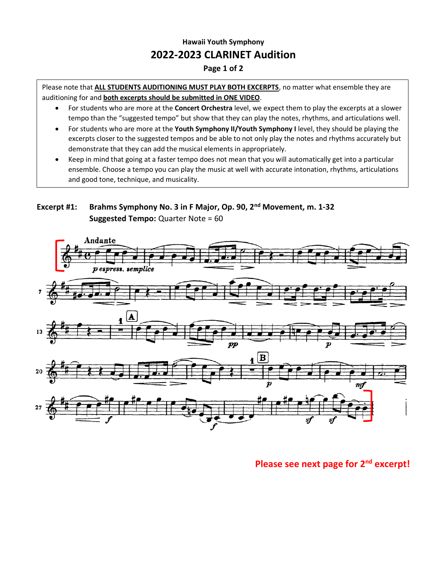## **Hawaii Youth Symphony 2022-2023 CLARINET Audition**

#### **Page 1 of 2**

Please note that **ALL STUDENTS AUDITIONING MUST PLAY BOTH EXCERPTS**, no matter what ensemble they are auditioning for and **both excerpts should be submitted in ONE VIDEO**.

- For students who are more at the **Concert Orchestra** level, we expect them to play the excerpts at a slower tempo than the "suggested tempo" but show that they can play the notes, rhythms, and articulations well.
- For students who are more at the **Youth Symphony II/Youth Symphony I** level, they should be playing the excerpts closer to the suggested tempos and be able to not only play the notes and rhythms accurately but demonstrate that they can add the musical elements in appropriately.
- Keep in mind that going at a faster tempo does not mean that you will automatically get into a particular ensemble. Choose a tempo you can play the music at well with accurate intonation, rhythms, articulations and good tone, technique, and musicality.

#### **Excerpt #1: Brahms Symphony No. 3 in F Major, Op. 90, 2nd Movement, m. 1-32 Suggested Tempo:** Quarter Note = 60



### **Please see next page for 2nd excerpt!**